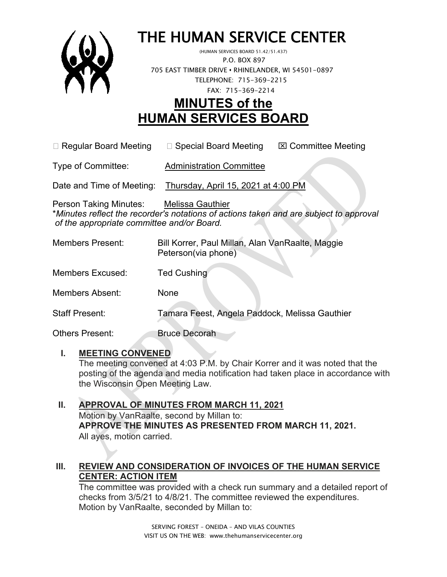

# THE HUMAN SERVICE CENTER (HUMAN SERVICES BOARD 51.42/51.437)

 P.O. BOX 897 705 EAST TIMBER DRIVE **•** RHINELANDER, WI 54501-0897 TELEPHONE: 715-369-2215 FAX: 715-369-2214

# **MINUTES of the HUMAN SERVICES BOARD**

 $\Box$  Regular Board Meeting  $\Box$  Special Board Meeting  $\Box$  Committee Meeting

Type of Committee: Administration Committee

Date and Time of Meeting: Thursday, April 15, 2021 at 4:00 PM

Person Taking Minutes: Melissa Gauthier \**Minutes reflect the recorder's notations of actions taken and are subject to approval of the appropriate committee and/or Board.*

| <b>Members Present:</b> | Bill Korrer, Paul Millan, Alan VanRaalte, Maggie<br>Peterson(via phone) |
|-------------------------|-------------------------------------------------------------------------|
| Members Excused:        | <b>Ted Cushing</b>                                                      |
| Members Absent:         | None                                                                    |

Staff Present: Tamara Feest, Angela Paddock, Melissa Gauthier

Others Present: Bruce Decorah

#### **I. MEETING CONVENED**

The meeting convened at 4:03 P.M. by Chair Korrer and it was noted that the posting of the agenda and media notification had taken place in accordance with the Wisconsin Open Meeting Law.

#### **II. APPROVAL OF MINUTES FROM MARCH 11, 2021** Motion by VanRaalte, second by Millan to: **APPROVE THE MINUTES AS PRESENTED FROM MARCH 11, 2021.**  All ayes, motion carried.

# **III. REVIEW AND CONSIDERATION OF INVOICES OF THE HUMAN SERVICE CENTER: ACTION ITEM**

The committee was provided with a check run summary and a detailed report of checks from 3/5/21 to 4/8/21. The committee reviewed the expenditures. Motion by VanRaalte, seconded by Millan to: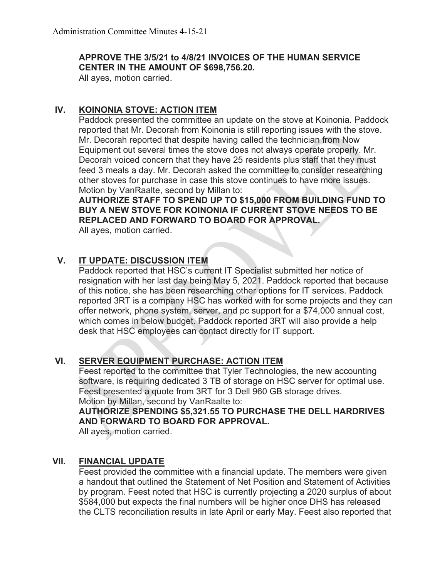#### **APPROVE THE 3/5/21 to 4/8/21 INVOICES OF THE HUMAN SERVICE CENTER IN THE AMOUNT OF \$698,756.20.**

All ayes, motion carried.

## **IV. KOINONIA STOVE: ACTION ITEM**

Paddock presented the committee an update on the stove at Koinonia. Paddock reported that Mr. Decorah from Koinonia is still reporting issues with the stove. Mr. Decorah reported that despite having called the technician from Now Equipment out several times the stove does not always operate properly. Mr. Decorah voiced concern that they have 25 residents plus staff that they must feed 3 meals a day. Mr. Decorah asked the committee to consider researching other stoves for purchase in case this stove continues to have more issues. Motion by VanRaalte, second by Millan to:

**AUTHORIZE STAFF TO SPEND UP TO \$15,000 FROM BUILDING FUND TO BUY A NEW STOVE FOR KOINONIA IF CURRENT STOVE NEEDS TO BE REPLACED AND FORWARD TO BOARD FOR APPROVAL.**

All ayes, motion carried.

# **V. IT UPDATE: DISCUSSION ITEM**

Paddock reported that HSC's current IT Specialist submitted her notice of resignation with her last day being May 5, 2021. Paddock reported that because of this notice, she has been researching other options for IT services. Paddock reported 3RT is a company HSC has worked with for some projects and they can offer network, phone system, server, and pc support for a \$74,000 annual cost, which comes in below budget. Paddock reported 3RT will also provide a help desk that HSC employees can contact directly for IT support.

#### **VI. SERVER EQUIPMENT PURCHASE: ACTION ITEM**

Feest reported to the committee that Tyler Technologies, the new accounting software, is requiring dedicated 3 TB of storage on HSC server for optimal use. Feest presented a quote from 3RT for 3 Dell 960 GB storage drives. Motion by Millan, second by VanRaalte to:

**AUTHORIZE SPENDING \$5,321.55 TO PURCHASE THE DELL HARDRIVES AND FORWARD TO BOARD FOR APPROVAL.**

All ayes, motion carried.

#### **VII. FINANCIAL UPDATE**

Feest provided the committee with a financial update. The members were given a handout that outlined the Statement of Net Position and Statement of Activities by program. Feest noted that HSC is currently projecting a 2020 surplus of about \$584,000 but expects the final numbers will be higher once DHS has released the CLTS reconciliation results in late April or early May. Feest also reported that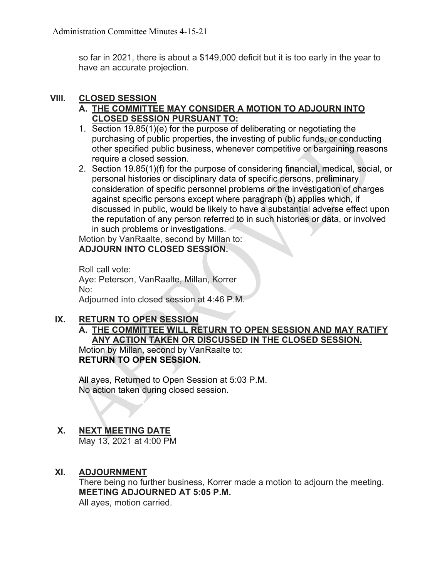so far in 2021, there is about a \$149,000 deficit but it is too early in the year to have an accurate projection.

### **VIII. CLOSED SESSION**

## **A. THE COMMITTEE MAY CONSIDER A MOTION TO ADJOURN INTO CLOSED SESSION PURSUANT TO:**

- 1. Section 19.85(1)(e) for the purpose of deliberating or negotiating the purchasing of public properties, the investing of public funds, or conducting other specified public business, whenever competitive or bargaining reasons require a closed session.
- 2. Section 19.85(1)(f) for the purpose of considering financial, medical, social, or personal histories or disciplinary data of specific persons, preliminary consideration of specific personnel problems or the investigation of charges against specific persons except where paragraph (b) applies which, if discussed in public, would be likely to have a substantial adverse effect upon the reputation of any person referred to in such histories or data, or involved in such problems or investigations.

Motion by VanRaalte, second by Millan to: **ADJOURN INTO CLOSED SESSION.**

Roll call vote: Aye: Peterson, VanRaalte, Millan, Korrer No: Adjourned into closed session at 4:46 P.M.

# **IX. RETURN TO OPEN SESSION**

### **A. THE COMMITTEE WILL RETURN TO OPEN SESSION AND MAY RATIFY ANY ACTION TAKEN OR DISCUSSED IN THE CLOSED SESSION.**

Motion by Millan, second by VanRaalte to: **RETURN TO OPEN SESSION.**

All ayes, Returned to Open Session at 5:03 P.M. No action taken during closed session.

# **X. NEXT MEETING DATE**

May 13, 2021 at 4:00 PM

# **XI. ADJOURNMENT**

There being no further business, Korrer made a motion to adjourn the meeting. **MEETING ADJOURNED AT 5:05 P.M.** All ayes, motion carried.